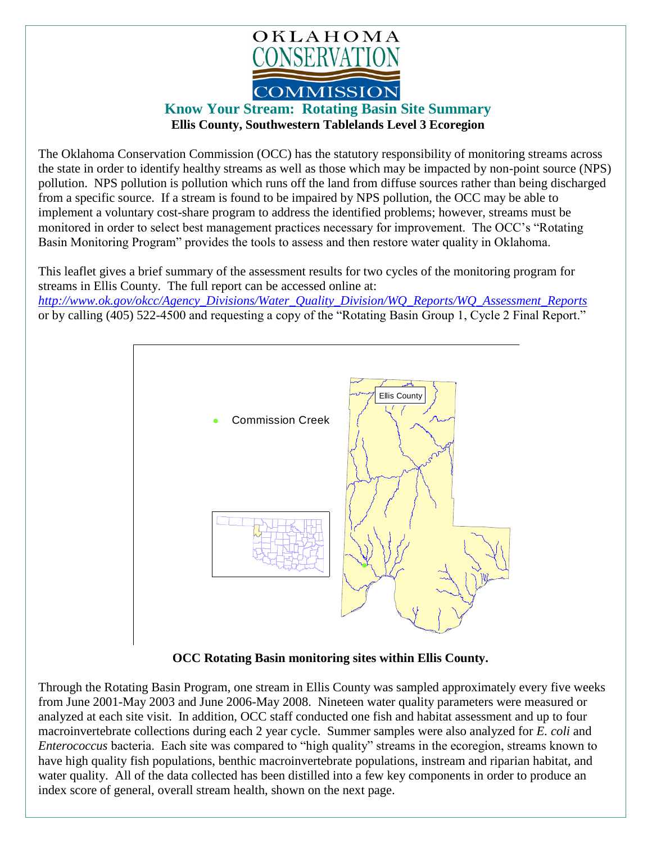

## **Know Your Stream: Rotating Basin Site Summary Ellis County, Southwestern Tablelands Level 3 Ecoregion**

The Oklahoma Conservation Commission (OCC) has the statutory responsibility of monitoring streams across the state in order to identify healthy streams as well as those which may be impacted by non-point source (NPS) pollution. NPS pollution is pollution which runs off the land from diffuse sources rather than being discharged from a specific source. If a stream is found to be impaired by NPS pollution, the OCC may be able to implement a voluntary cost-share program to address the identified problems; however, streams must be monitored in order to select best management practices necessary for improvement. The OCC's "Rotating Basin Monitoring Program" provides the tools to assess and then restore water quality in Oklahoma.

This leaflet gives a brief summary of the assessment results for two cycles of the monitoring program for streams in Ellis County. The full report can be accessed online at: *[http://www.ok.gov/okcc/Agency\\_Divisions/Water\\_Quality\\_Division/WQ\\_Reports/WQ\\_Assessment\\_Reports](http://www.ok.gov/okcc/Agency_Divisions/Water_Quality_Division/WQ_Reports/WQ_Assessment_Reports)* or by calling (405) 522-4500 and requesting a copy of the "Rotating Basin Group 1, Cycle 2 Final Report."



 **OCC Rotating Basin monitoring sites within Ellis County.**

Through the Rotating Basin Program, one stream in Ellis County was sampled approximately every five weeks from June 2001-May 2003 and June 2006-May 2008. Nineteen water quality parameters were measured or analyzed at each site visit. In addition, OCC staff conducted one fish and habitat assessment and up to four macroinvertebrate collections during each 2 year cycle. Summer samples were also analyzed for *E. coli* and *Enterococcus* bacteria. Each site was compared to "high quality" streams in the ecoregion, streams known to have high quality fish populations, benthic macroinvertebrate populations, instream and riparian habitat, and water quality. All of the data collected has been distilled into a few key components in order to produce an index score of general, overall stream health, shown on the next page.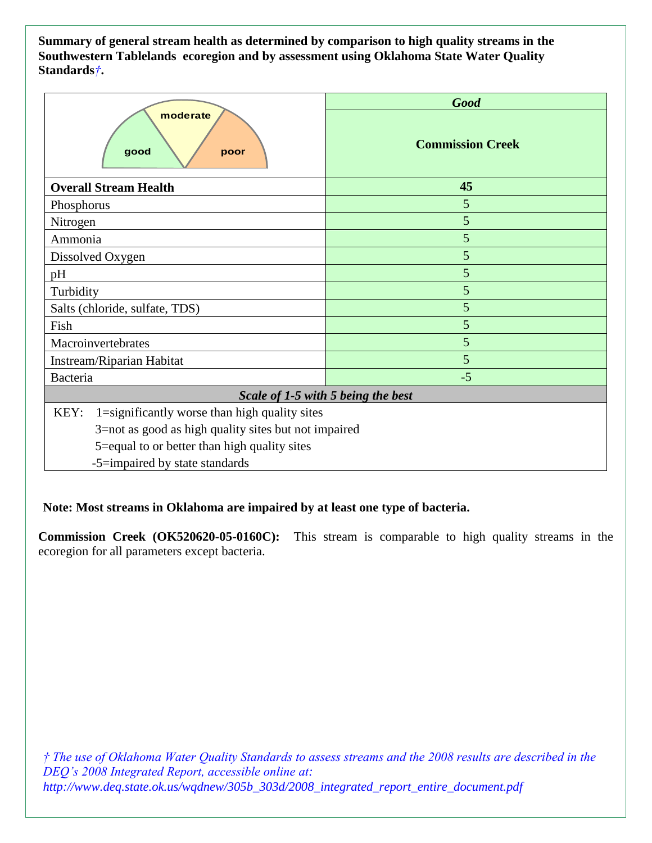**Summary of general stream health as determined by comparison to high quality streams in the Southwestern Tablelands ecoregion and by assessment using Oklahoma State Water Quality Standards***†***.**

| moderate<br>good<br>poor                              | <b>Good</b>             |
|-------------------------------------------------------|-------------------------|
|                                                       | <b>Commission Creek</b> |
| <b>Overall Stream Health</b>                          | 45                      |
| Phosphorus                                            | 5                       |
| Nitrogen                                              | 5                       |
| Ammonia                                               | 5                       |
| Dissolved Oxygen                                      | 5                       |
| pH                                                    | 5                       |
| Turbidity                                             | 5                       |
| Salts (chloride, sulfate, TDS)                        | 5                       |
| Fish                                                  | 5                       |
| Macroinvertebrates                                    | 5                       |
| Instream/Riparian Habitat                             | 5                       |
| Bacteria                                              | $-5$                    |
| Scale of 1-5 with 5 being the best                    |                         |
| KEY:<br>1=significantly worse than high quality sites |                         |
| 3=not as good as high quality sites but not impaired  |                         |
| 5=equal to or better than high quality sites          |                         |
| -5=impaired by state standards                        |                         |

**Note: Most streams in Oklahoma are impaired by at least one type of bacteria.**

**Commission Creek (OK520620-05-0160C):** This stream is comparable to high quality streams in the ecoregion for all parameters except bacteria.

*† The use of Oklahoma Water Quality Standards to assess streams and the 2008 results are described in the DEQ's 2008 Integrated Report, accessible online at: http://www.deq.state.ok.us/wqdnew/305b\_303d/2008\_integrated\_report\_entire\_document.pdf*